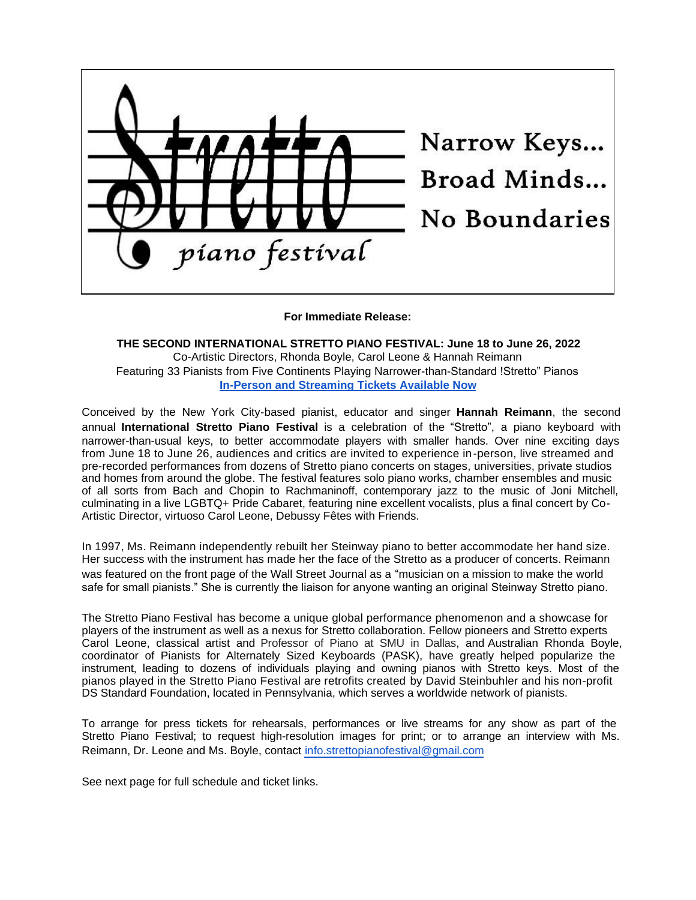

## **For Immediate Release:**

**THE SECOND INTERNATIONAL STRETTO PIANO FESTIVAL: June 18 to June 26, 2022** Co-Artistic Directors, Rhonda Boyle, Carol Leone & Hannah Reimann Featuring 33 Pianists from Five Continents Playing Narrower-than-Standard !Stretto" Pianos **In-Person and Streaming Tickets Available Now**

Conceived by the New York City-based pianist, educator and singer **Hannah Reimann**, the second annual **International Stretto Piano Festival** is a celebration of the "Stretto", a piano keyboard with narrower-than-usual keys, to better accommodate players with smaller hands. Over nine exciting days from June 18 to June 26, audiences and critics are invited to experience in-person, live streamed and pre-recorded performances from dozens of Stretto piano concerts on stages, universities, private studios and homes from around the globe. The festival features solo piano works, chamber ensembles and music of all sorts from Bach and Chopin to Rachmaninoff, contemporary jazz to the music of Joni Mitchell, culminating in a live LGBTQ+ Pride Cabaret, featuring nine excellent vocalists, plus a final concert by Co-Artistic Director, virtuoso Carol Leone, Debussy Fêtes with Friends.

In 1997, Ms. Reimann independently rebuilt her Steinway piano to better accommodate her hand size. Her success with the instrument has made her the face of the Stretto as a producer of concerts. Reimann was featured on the front page of the Wall Street Journal as a "musician on a mission to make the world safe for small pianists." She is currently the liaison for anyone wanting an original Steinway Stretto piano.

The Stretto Piano Festival has become a unique global performance phenomenon and a showcase for players of the instrument as well as a nexus for Stretto collaboration. Fellow pioneers and Stretto experts Carol Leone, classical artist and Professor of Piano at SMU in Dallas, and Australian Rhonda Boyle, coordinator of Pianists for Alternately Sized Keyboards (PASK), have greatly helped popularize the instrument, leading to dozens of individuals playing and owning pianos with Stretto keys. Most of the pianos played in the Stretto Piano Festival are retrofits created by David Steinbuhler and his non-profit DS Standard Foundation, located in Pennsylvania, which serves a worldwide network of pianists.

To arrange for press tickets for rehearsals, performances or live streams for any show as part of the Stretto Piano Festival; to request high-resolution images for print; or to arrange an interview with Ms. Reimann, Dr. Leone and Ms. Boyle, contact info.strettopianofestival@gmail.com

See next page for full schedule and ticket links.